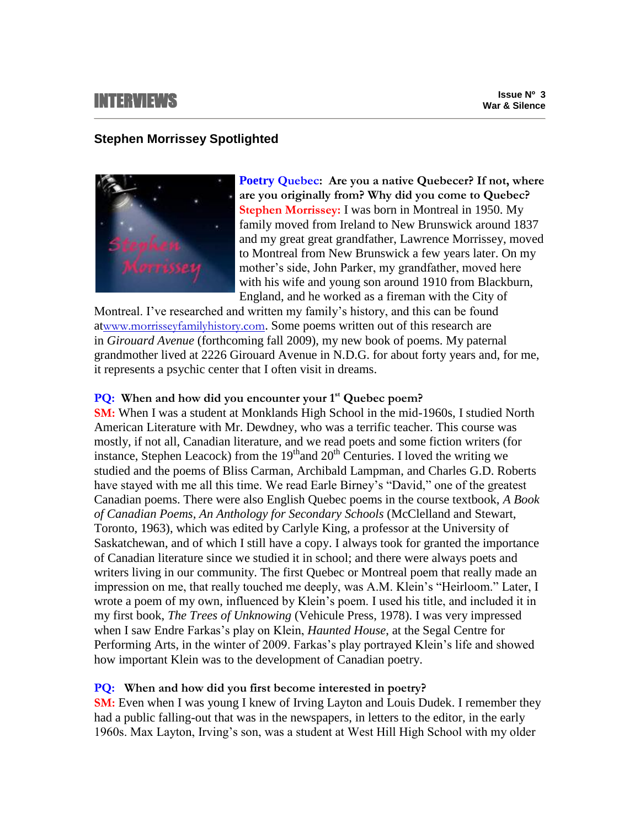# INTERVIEWS

## **Stephen Morrissey Spotlighted**



**Poetry Quebec: Are you a native Quebecer? If not, where are you originally from? Why did you come to Quebec? Stephen Morrissey:** I was born in Montreal in 1950. My family moved from Ireland to New Brunswick around 1837 and my great great grandfather, Lawrence Morrissey, moved to Montreal from New Brunswick a few years later. On my mother's side, John Parker, my grandfather, moved here with his wife and young son around 1910 from Blackburn, England, and he worked as a fireman with the City of

Montreal. I've researched and written my family's history, and this can be found at[www.morrisseyfamilyhistory.com](http://www.morrisseyfamilyhistory.com/). Some poems written out of this research are in *Girouard Avenue* (forthcoming fall 2009), my new book of poems. My paternal grandmother lived at 2226 Girouard Avenue in N.D.G. for about forty years and, for me, it represents a psychic center that I often visit in dreams.

## **PQ: When and how did you encounter your 1st Quebec poem?**

**SM:** When I was a student at Monklands High School in the mid-1960s, I studied North American Literature with Mr. Dewdney, who was a terrific teacher. This course was mostly, if not all, Canadian literature, and we read poets and some fiction writers (for instance, Stephen Leacock) from the  $19<sup>th</sup>$  and  $20<sup>th</sup>$  Centuries. I loved the writing we studied and the poems of Bliss Carman, Archibald Lampman, and Charles G.D. Roberts have stayed with me all this time. We read Earle Birney's "David," one of the greatest Canadian poems. There were also English Quebec poems in the course textbook, *A Book of Canadian Poems, An Anthology for Secondary Schools* (McClelland and Stewart, Toronto, 1963), which was edited by Carlyle King, a professor at the University of Saskatchewan, and of which I still have a copy. I always took for granted the importance of Canadian literature since we studied it in school; and there were always poets and writers living in our community. The first Quebec or Montreal poem that really made an impression on me, that really touched me deeply, was A.M. Klein's "Heirloom." Later, I wrote a poem of my own, influenced by Klein's poem. I used his title, and included it in my first book, *The Trees of Unknowing* (Vehicule Press, 1978). I was very impressed when I saw Endre Farkas's play on Klein, *Haunted House*, at the Segal Centre for Performing Arts, in the winter of 2009. Farkas's play portrayed Klein's life and showed how important Klein was to the development of Canadian poetry.

# **PQ: When and how did you first become interested in poetry?**

**SM:** Even when I was young I knew of Irving Layton and Louis Dudek. I remember they had a public falling-out that was in the newspapers, in letters to the editor, in the early 1960s. Max Layton, Irving's son, was a student at West Hill High School with my older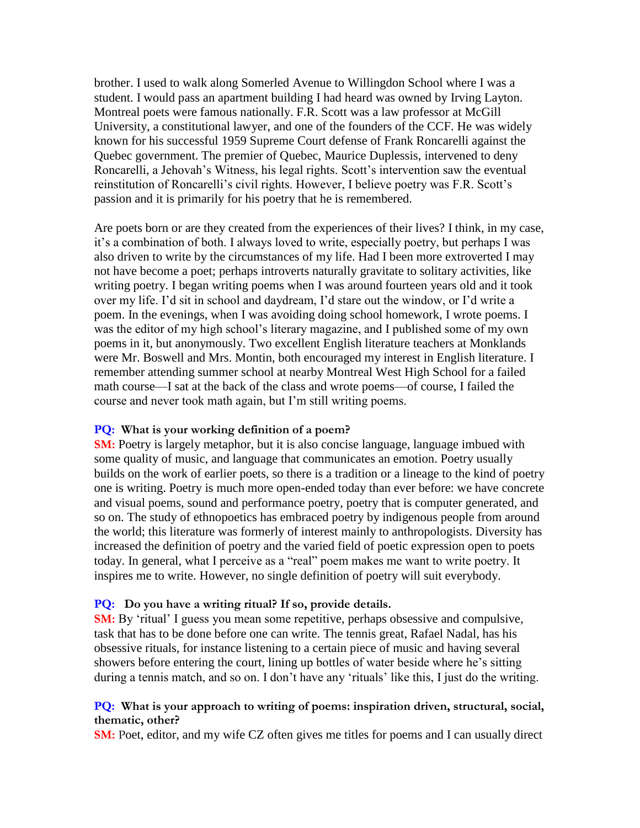brother. I used to walk along Somerled Avenue to Willingdon School where I was a student. I would pass an apartment building I had heard was owned by Irving Layton. Montreal poets were famous nationally. F.R. Scott was a law professor at McGill University, a constitutional lawyer, and one of the founders of the CCF. He was widely known for his successful 1959 Supreme Court defense of Frank Roncarelli against the Quebec government. The premier of Quebec, Maurice Duplessis, intervened to deny Roncarelli, a Jehovah's Witness, his legal rights. Scott's intervention saw the eventual reinstitution of Roncarelli's civil rights. However, I believe poetry was F.R. Scott's passion and it is primarily for his poetry that he is remembered.

Are poets born or are they created from the experiences of their lives? I think, in my case, it's a combination of both. I always loved to write, especially poetry, but perhaps I was also driven to write by the circumstances of my life. Had I been more extroverted I may not have become a poet; perhaps introverts naturally gravitate to solitary activities, like writing poetry. I began writing poems when I was around fourteen years old and it took over my life. I'd sit in school and daydream, I'd stare out the window, or I'd write a poem. In the evenings, when I was avoiding doing school homework, I wrote poems. I was the editor of my high school's literary magazine, and I published some of my own poems in it, but anonymously. Two excellent English literature teachers at Monklands were Mr. Boswell and Mrs. Montin, both encouraged my interest in English literature. I remember attending summer school at nearby Montreal West High School for a failed math course—I sat at the back of the class and wrote poems—of course, I failed the course and never took math again, but I'm still writing poems.

#### **PQ: What is your working definition of a poem?**

**SM:** Poetry is largely metaphor, but it is also concise language, language imbued with some quality of music, and language that communicates an emotion. Poetry usually builds on the work of earlier poets, so there is a tradition or a lineage to the kind of poetry one is writing. Poetry is much more open-ended today than ever before: we have concrete and visual poems, sound and performance poetry, poetry that is computer generated, and so on. The study of ethnopoetics has embraced poetry by indigenous people from around the world; this literature was formerly of interest mainly to anthropologists. Diversity has increased the definition of poetry and the varied field of poetic expression open to poets today. In general, what I perceive as a "real" poem makes me want to write poetry. It inspires me to write. However, no single definition of poetry will suit everybody.

#### **PQ: Do you have a writing ritual? If so, provide details.**

**SM:** By 'ritual' I guess you mean some repetitive, perhaps obsessive and compulsive, task that has to be done before one can write. The tennis great, Rafael Nadal, has his obsessive rituals, for instance listening to a certain piece of music and having several showers before entering the court, lining up bottles of water beside where he's sitting during a tennis match, and so on. I don't have any 'rituals' like this, I just do the writing.

#### **PQ: What is your approach to writing of poems: inspiration driven, structural, social, thematic, other?**

**SM:** Poet, editor, and my wife CZ often gives me titles for poems and I can usually direct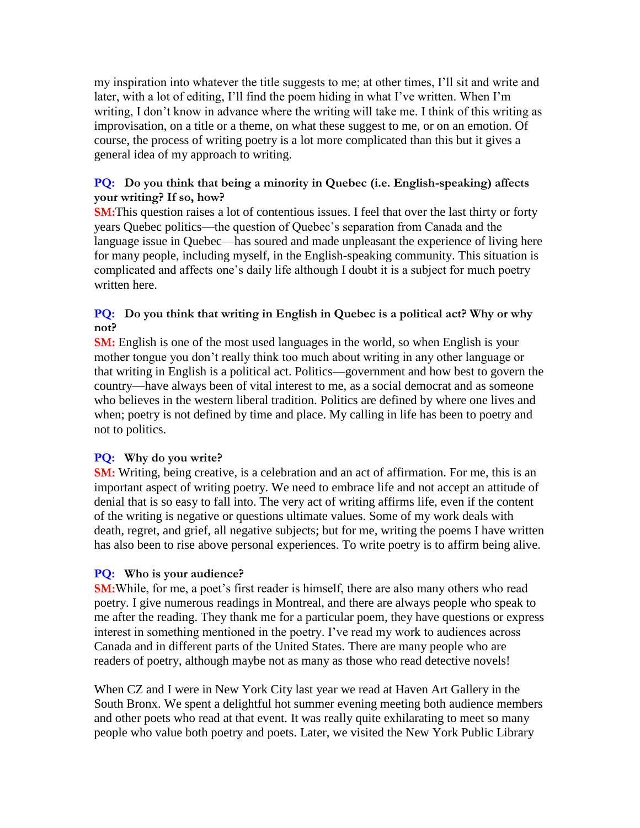my inspiration into whatever the title suggests to me; at other times, I'll sit and write and later, with a lot of editing, I'll find the poem hiding in what I've written. When I'm writing, I don't know in advance where the writing will take me. I think of this writing as improvisation, on a title or a theme, on what these suggest to me, or on an emotion. Of course, the process of writing poetry is a lot more complicated than this but it gives a general idea of my approach to writing.

## **PQ: Do you think that being a minority in Quebec (i.e. English-speaking) affects your writing? If so, how?**

**SM:**This question raises a lot of contentious issues. I feel that over the last thirty or forty years Quebec politics—the question of Quebec's separation from Canada and the language issue in Quebec—has soured and made unpleasant the experience of living here for many people, including myself, in the English-speaking community. This situation is complicated and affects one's daily life although I doubt it is a subject for much poetry written here.

# **PQ:** Do you think that writing in English in Quebec is a political act? Why or why **not?**

**SM:** English is one of the most used languages in the world, so when English is your mother tongue you don't really think too much about writing in any other language or that writing in English is a political act. Politics—government and how best to govern the country—have always been of vital interest to me, as a social democrat and as someone who believes in the western liberal tradition. Politics are defined by where one lives and when; poetry is not defined by time and place. My calling in life has been to poetry and not to politics.

# **PQ: Why do you write?**

**SM:** Writing, being creative, is a celebration and an act of affirmation. For me, this is an important aspect of writing poetry. We need to embrace life and not accept an attitude of denial that is so easy to fall into. The very act of writing affirms life, even if the content of the writing is negative or questions ultimate values. Some of my work deals with death, regret, and grief, all negative subjects; but for me, writing the poems I have written has also been to rise above personal experiences. To write poetry is to affirm being alive.

# **PQ: Who is your audience?**

**SM:**While, for me, a poet's first reader is himself, there are also many others who read poetry. I give numerous readings in Montreal, and there are always people who speak to me after the reading. They thank me for a particular poem, they have questions or express interest in something mentioned in the poetry. I've read my work to audiences across Canada and in different parts of the United States. There are many people who are readers of poetry, although maybe not as many as those who read detective novels!

When CZ and I were in New York City last year we read at Haven Art Gallery in the South Bronx. We spent a delightful hot summer evening meeting both audience members and other poets who read at that event. It was really quite exhilarating to meet so many people who value both poetry and poets. Later, we visited the New York Public Library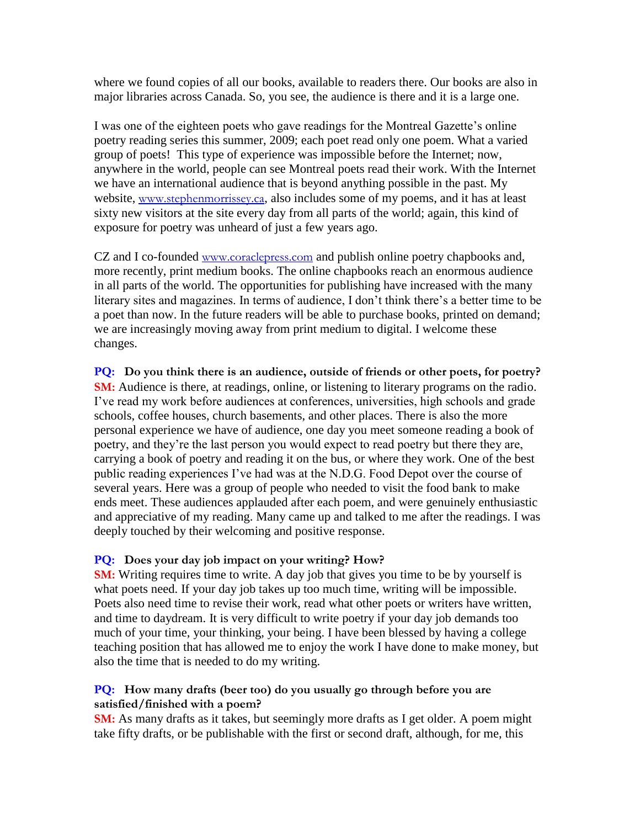where we found copies of all our books, available to readers there. Our books are also in major libraries across Canada. So, you see, the audience is there and it is a large one.

I was one of the eighteen poets who gave readings for the Montreal Gazette's online poetry reading series this summer, 2009; each poet read only one poem. What a varied group of poets! This type of experience was impossible before the Internet; now, anywhere in the world, people can see Montreal poets read their work. With the Internet we have an international audience that is beyond anything possible in the past. My website, [www.stephenmorrissey.ca](http://www.stephenmorrissey.ca/), also includes some of my poems, and it has at least sixty new visitors at the site every day from all parts of the world; again, this kind of exposure for poetry was unheard of just a few years ago.

CZ and I co-founded [www.coraclepress.com](http://www.coraclepress.com/) and publish online poetry chapbooks and, more recently, print medium books. The online chapbooks reach an enormous audience in all parts of the world. The opportunities for publishing have increased with the many literary sites and magazines. In terms of audience, I don't think there's a better time to be a poet than now. In the future readers will be able to purchase books, printed on demand; we are increasingly moving away from print medium to digital. I welcome these changes.

**PQ: Do you think there is an audience, outside of friends or other poets, for poetry? SM:** Audience is there, at readings, online, or listening to literary programs on the radio. I've read my work before audiences at conferences, universities, high schools and grade schools, coffee houses, church basements, and other places. There is also the more personal experience we have of audience, one day you meet someone reading a book of poetry, and they're the last person you would expect to read poetry but there they are, carrying a book of poetry and reading it on the bus, or where they work. One of the best public reading experiences I've had was at the N.D.G. Food Depot over the course of several years. Here was a group of people who needed to visit the food bank to make ends meet. These audiences applauded after each poem, and were genuinely enthusiastic and appreciative of my reading. Many came up and talked to me after the readings. I was deeply touched by their welcoming and positive response.

## **PQ: Does your day job impact on your writing? How?**

**SM:** Writing requires time to write. A day job that gives you time to be by yourself is what poets need. If your day job takes up too much time, writing will be impossible. Poets also need time to revise their work, read what other poets or writers have written, and time to daydream. It is very difficult to write poetry if your day job demands too much of your time, your thinking, your being. I have been blessed by having a college teaching position that has allowed me to enjoy the work I have done to make money, but also the time that is needed to do my writing.

## **PQ: How many drafts (beer too) do you usually go through before you are satisfied/finished with a poem?**

**SM:** As many drafts as it takes, but seemingly more drafts as I get older. A poem might take fifty drafts, or be publishable with the first or second draft, although, for me, this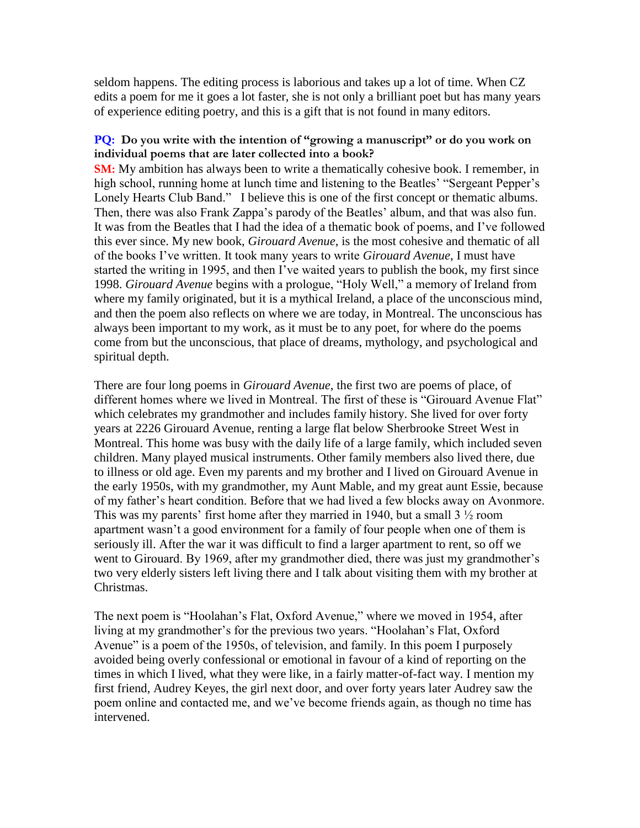seldom happens. The editing process is laborious and takes up a lot of time. When CZ edits a poem for me it goes a lot faster, she is not only a brilliant poet but has many years of experience editing poetry, and this is a gift that is not found in many editors.

## **PQ: Do you write with the intention of "growing a manuscript" or do you work on individual poems that are later collected into a book?**

**SM:** My ambition has always been to write a thematically cohesive book. I remember, in high school, running home at lunch time and listening to the Beatles' "Sergeant Pepper's Lonely Hearts Club Band." I believe this is one of the first concept or thematic albums. Then, there was also Frank Zappa's parody of the Beatles' album, and that was also fun. It was from the Beatles that I had the idea of a thematic book of poems, and I've followed this ever since. My new book, *Girouard Avenue*, is the most cohesive and thematic of all of the books I've written. It took many years to write *Girouard Avenue*, I must have started the writing in 1995, and then I've waited years to publish the book, my first since 1998. *Girouard Avenue* begins with a prologue, "Holy Well," a memory of Ireland from where my family originated, but it is a mythical Ireland, a place of the unconscious mind, and then the poem also reflects on where we are today, in Montreal. The unconscious has always been important to my work, as it must be to any poet, for where do the poems come from but the unconscious, that place of dreams, mythology, and psychological and spiritual depth.

There are four long poems in *Girouard Avenue*, the first two are poems of place, of different homes where we lived in Montreal. The first of these is "Girouard Avenue Flat" which celebrates my grandmother and includes family history. She lived for over forty years at 2226 Girouard Avenue, renting a large flat below Sherbrooke Street West in Montreal. This home was busy with the daily life of a large family, which included seven children. Many played musical instruments. Other family members also lived there, due to illness or old age. Even my parents and my brother and I lived on Girouard Avenue in the early 1950s, with my grandmother, my Aunt Mable, and my great aunt Essie, because of my father's heart condition. Before that we had lived a few blocks away on Avonmore. This was my parents' first home after they married in 1940, but a small  $3\frac{1}{2}$  room apartment wasn't a good environment for a family of four people when one of them is seriously ill. After the war it was difficult to find a larger apartment to rent, so off we went to Girouard. By 1969, after my grandmother died, there was just my grandmother's two very elderly sisters left living there and I talk about visiting them with my brother at Christmas.

The next poem is "Hoolahan's Flat, Oxford Avenue," where we moved in 1954, after living at my grandmother's for the previous two years. "Hoolahan's Flat, Oxford Avenue" is a poem of the 1950s, of television, and family. In this poem I purposely avoided being overly confessional or emotional in favour of a kind of reporting on the times in which I lived, what they were like, in a fairly matter-of-fact way. I mention my first friend, Audrey Keyes, the girl next door, and over forty years later Audrey saw the poem online and contacted me, and we've become friends again, as though no time has intervened.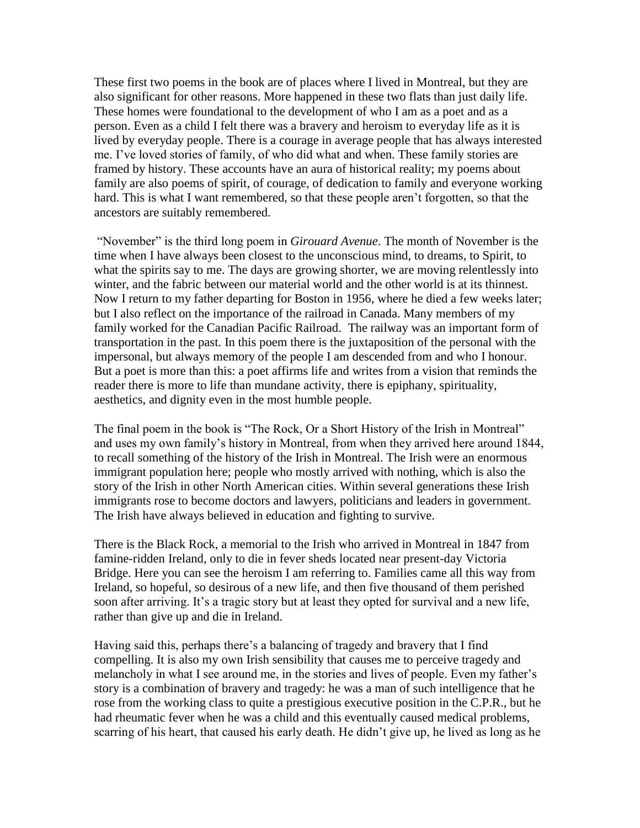These first two poems in the book are of places where I lived in Montreal, but they are also significant for other reasons. More happened in these two flats than just daily life. These homes were foundational to the development of who I am as a poet and as a person. Even as a child I felt there was a bravery and heroism to everyday life as it is lived by everyday people. There is a courage in average people that has always interested me. I've loved stories of family, of who did what and when. These family stories are framed by history. These accounts have an aura of historical reality; my poems about family are also poems of spirit, of courage, of dedication to family and everyone working hard. This is what I want remembered, so that these people aren't forgotten, so that the ancestors are suitably remembered.

"November" is the third long poem in *Girouard Avenue*. The month of November is the time when I have always been closest to the unconscious mind, to dreams, to Spirit, to what the spirits say to me. The days are growing shorter, we are moving relentlessly into winter, and the fabric between our material world and the other world is at its thinnest. Now I return to my father departing for Boston in 1956, where he died a few weeks later; but I also reflect on the importance of the railroad in Canada. Many members of my family worked for the Canadian Pacific Railroad. The railway was an important form of transportation in the past. In this poem there is the juxtaposition of the personal with the impersonal, but always memory of the people I am descended from and who I honour. But a poet is more than this: a poet affirms life and writes from a vision that reminds the reader there is more to life than mundane activity, there is epiphany, spirituality, aesthetics, and dignity even in the most humble people.

The final poem in the book is "The Rock, Or a Short History of the Irish in Montreal" and uses my own family's history in Montreal, from when they arrived here around 1844, to recall something of the history of the Irish in Montreal. The Irish were an enormous immigrant population here; people who mostly arrived with nothing, which is also the story of the Irish in other North American cities. Within several generations these Irish immigrants rose to become doctors and lawyers, politicians and leaders in government. The Irish have always believed in education and fighting to survive.

There is the Black Rock, a memorial to the Irish who arrived in Montreal in 1847 from famine-ridden Ireland, only to die in fever sheds located near present-day Victoria Bridge. Here you can see the heroism I am referring to. Families came all this way from Ireland, so hopeful, so desirous of a new life, and then five thousand of them perished soon after arriving. It's a tragic story but at least they opted for survival and a new life, rather than give up and die in Ireland.

Having said this, perhaps there's a balancing of tragedy and bravery that I find compelling. It is also my own Irish sensibility that causes me to perceive tragedy and melancholy in what I see around me, in the stories and lives of people. Even my father's story is a combination of bravery and tragedy: he was a man of such intelligence that he rose from the working class to quite a prestigious executive position in the C.P.R., but he had rheumatic fever when he was a child and this eventually caused medical problems, scarring of his heart, that caused his early death. He didn't give up, he lived as long as he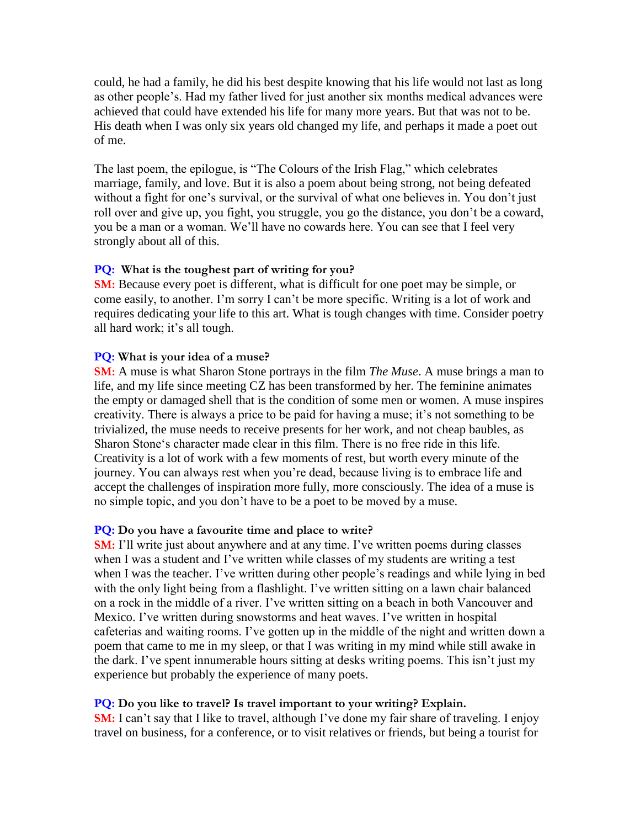could, he had a family, he did his best despite knowing that his life would not last as long as other people's. Had my father lived for just another six months medical advances were achieved that could have extended his life for many more years. But that was not to be. His death when I was only six years old changed my life, and perhaps it made a poet out of me.

The last poem, the epilogue, is "The Colours of the Irish Flag," which celebrates marriage, family, and love. But it is also a poem about being strong, not being defeated without a fight for one's survival, or the survival of what one believes in. You don't just roll over and give up, you fight, you struggle, you go the distance, you don't be a coward, you be a man or a woman. We'll have no cowards here. You can see that I feel very strongly about all of this.

## **PQ: What is the toughest part of writing for you?**

**SM:** Because every poet is different, what is difficult for one poet may be simple, or come easily, to another. I'm sorry I can't be more specific. Writing is a lot of work and requires dedicating your life to this art. What is tough changes with time. Consider poetry all hard work; it's all tough.

#### **PQ: What is your idea of a muse?**

**SM:** A muse is what Sharon Stone portrays in the film *The Muse*. A muse brings a man to life, and my life since meeting CZ has been transformed by her. The feminine animates the empty or damaged shell that is the condition of some men or women. A muse inspires creativity. There is always a price to be paid for having a muse; it's not something to be trivialized, the muse needs to receive presents for her work, and not cheap baubles, as Sharon Stone's character made clear in this film. There is no free ride in this life. Creativity is a lot of work with a few moments of rest, but worth every minute of the journey. You can always rest when you're dead, because living is to embrace life and accept the challenges of inspiration more fully, more consciously. The idea of a muse is no simple topic, and you don't have to be a poet to be moved by a muse.

#### **PQ: Do you have a favourite time and place to write?**

**SM:** I'll write just about anywhere and at any time. I've written poems during classes when I was a student and I've written while classes of my students are writing a test when I was the teacher. I've written during other people's readings and while lying in bed with the only light being from a flashlight. I've written sitting on a lawn chair balanced on a rock in the middle of a river. I've written sitting on a beach in both Vancouver and Mexico. I've written during snowstorms and heat waves. I've written in hospital cafeterias and waiting rooms. I've gotten up in the middle of the night and written down a poem that came to me in my sleep, or that I was writing in my mind while still awake in the dark. I've spent innumerable hours sitting at desks writing poems. This isn't just my experience but probably the experience of many poets.

#### **PQ: Do you like to travel? Is travel important to your writing? Explain.**

**SM:** I can't say that I like to travel, although I've done my fair share of traveling. I enjoy travel on business, for a conference, or to visit relatives or friends, but being a tourist for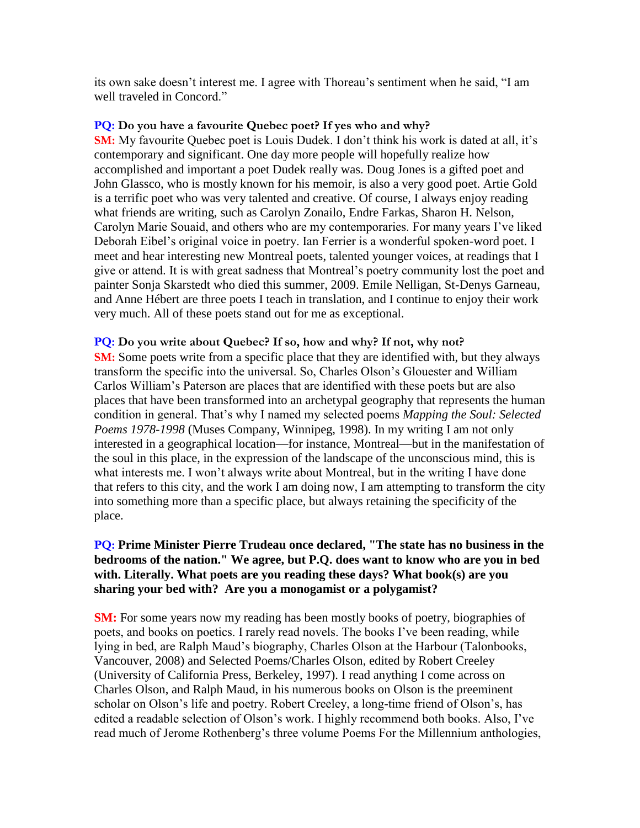its own sake doesn't interest me. I agree with Thoreau's sentiment when he said, "I am well traveled in Concord."

## **PQ: Do you have a favourite Quebec poet? If yes who and why?**

**SM:** My favourite Quebec poet is Louis Dudek. I don't think his work is dated at all, it's contemporary and significant. One day more people will hopefully realize how accomplished and important a poet Dudek really was. Doug Jones is a gifted poet and John Glassco, who is mostly known for his memoir, is also a very good poet. Artie Gold is a terrific poet who was very talented and creative. Of course, I always enjoy reading what friends are writing, such as Carolyn Zonailo, Endre Farkas, Sharon H. Nelson, Carolyn Marie Souaid, and others who are my contemporaries. For many years I've liked Deborah Eibel's original voice in poetry. Ian Ferrier is a wonderful spoken-word poet. I meet and hear interesting new Montreal poets, talented younger voices, at readings that I give or attend. It is with great sadness that Montreal's poetry community lost the poet and painter Sonja Skarstedt who died this summer, 2009. Emile Nelligan, St-Denys Garneau, and Anne Hébert are three poets I teach in translation, and I continue to enjoy their work very much. All of these poets stand out for me as exceptional.

## **PQ: Do you write about Quebec? If so, how and why? If not, why not?**

**SM:** Some poets write from a specific place that they are identified with, but they always transform the specific into the universal. So, Charles Olson's Glouester and William Carlos William's Paterson are places that are identified with these poets but are also places that have been transformed into an archetypal geography that represents the human condition in general. That's why I named my selected poems *Mapping the Soul: Selected Poems 1978-1998* (Muses Company, Winnipeg, 1998). In my writing I am not only interested in a geographical location—for instance, Montreal—but in the manifestation of the soul in this place, in the expression of the landscape of the unconscious mind, this is what interests me. I won't always write about Montreal, but in the writing I have done that refers to this city, and the work I am doing now, I am attempting to transform the city into something more than a specific place, but always retaining the specificity of the place.

## **PQ: Prime Minister Pierre Trudeau once declared, "The state has no business in the bedrooms of the nation." We agree, but P.Q. does want to know who are you in bed with. Literally. What poets are you reading these days? What book(s) are you sharing your bed with? Are you a monogamist or a polygamist?**

**SM:** For some years now my reading has been mostly books of poetry, biographies of poets, and books on poetics. I rarely read novels. The books I've been reading, while lying in bed, are Ralph Maud's biography, Charles Olson at the Harbour (Talonbooks, Vancouver, 2008) and Selected Poems/Charles Olson, edited by Robert Creeley (University of California Press, Berkeley, 1997). I read anything I come across on Charles Olson, and Ralph Maud, in his numerous books on Olson is the preeminent scholar on Olson's life and poetry. Robert Creeley, a long-time friend of Olson's, has edited a readable selection of Olson's work. I highly recommend both books. Also, I've read much of Jerome Rothenberg's three volume Poems For the Millennium anthologies,